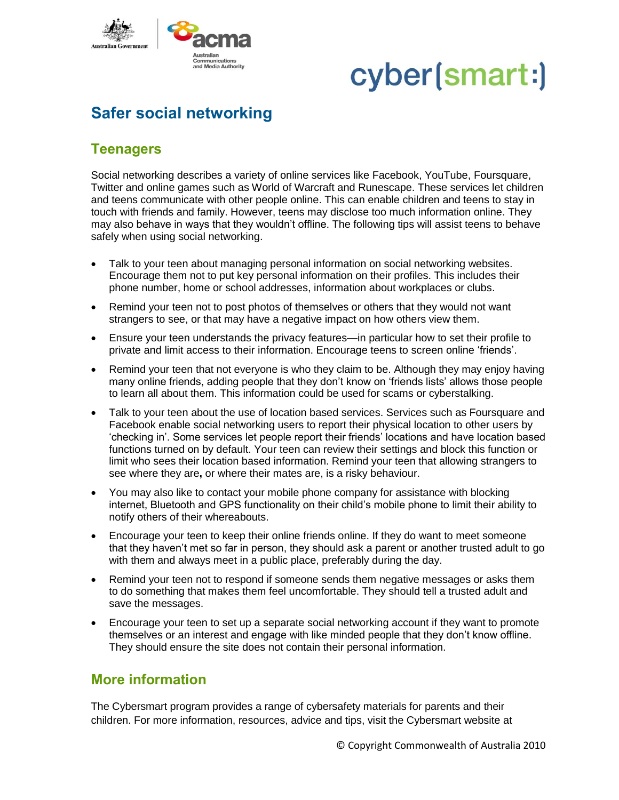

## cyber(smart:)

### **Safer social networking**

### **Teenagers**

Social networking describes a variety of online services like Facebook, YouTube, Foursquare, Twitter and online games such as World of Warcraft and Runescape. These services let children and teens communicate with other people online. This can enable children and teens to stay in touch with friends and family. However, teens may disclose too much information online. They may also behave in ways that they wouldn't offline. The following tips will assist teens to behave safely when using social networking.

- Talk to your teen about managing personal information on social networking websites. Encourage them not to put key personal information on their profiles. This includes their phone number, home or school addresses, information about workplaces or clubs.
- Remind your teen not to post photos of themselves or others that they would not want strangers to see, or that may have a negative impact on how others view them.
- Ensure your teen understands the privacy features—in particular how to set their profile to private and limit access to their information. Encourage teens to screen online 'friends'.
- Remind your teen that not everyone is who they claim to be. Although they may enjoy having many online friends, adding people that they don't know on 'friends lists' allows those people to learn all about them. This information could be used for scams or cyberstalking.
- Talk to your teen about the use of location based services. Services such as Foursquare and Facebook enable social networking users to report their physical location to other users by 'checking in'. Some services let people report their friends' locations and have location based functions turned on by default. Your teen can review their settings and block this function or limit who sees their location based information. Remind your teen that allowing strangers to see where they are**,** or where their mates are, is a risky behaviour.
- You may also like to contact your mobile phone company for assistance with blocking internet, Bluetooth and GPS functionality on their child's mobile phone to limit their ability to notify others of their whereabouts.
- Encourage your teen to keep their online friends online. If they do want to meet someone that they haven't met so far in person, they should ask a parent or another trusted adult to go with them and always meet in a public place, preferably during the day.
- Remind your teen not to respond if someone sends them negative messages or asks them to do something that makes them feel uncomfortable. They should tell a trusted adult and save the messages.
- Encourage your teen to set up a separate social networking account if they want to promote themselves or an interest and engage with like minded people that they don't know offline. They should ensure the site does not contain their personal information.

#### **More information**

The Cybersmart program provides a range of cybersafety materials for parents and their children. For more information, resources, advice and tips, visit the Cybersmart website at